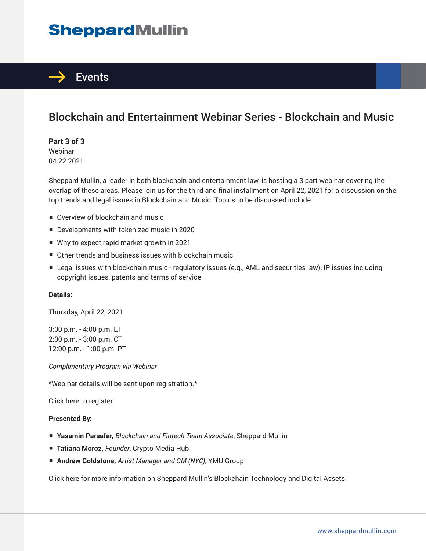## **SheppardMullin**



## Blockchain and Entertainment Webinar Series - Blockchain and Music

**Part 3 of 3** Webinar 04.22.2021

Sheppard Mullin, a leader in both blockchain and entertainment law, is hosting a 3 part webinar covering the overlap of these areas. Please join us for the third and final installment on April 22, 2021 for a discussion on the top trends and legal issues in Blockchain and Music. Topics to be discussed include:

- Overview of blockchain and music
- Developments with tokenized music in 2020
- Why to expect rapid market growth in 2021
- Other trends and business issues with blockchain music
- Legal issues with blockchain music regulatory issues (e.g., AML and securities law), IP issues including copyright issues, patents and terms of service.

#### **Details:**

Thursday, April 22, 2021

3:00 p.m. - 4:00 p.m. ET 2:00 p.m. - 3:00 p.m. CT 12:00 p.m. - 1:00 p.m. PT

*Complimentary Program via Webinar*

\*Webinar details will be sent upon registration.\*

Click here to register.

#### **Presented By:**

- **Yasamin Parsafar,** *Blockchain and Fintech Team Associate***, Sheppard Mullin**
- **Tatiana Moroz, Founder**, Crypto Media Hub
- **Andrew Goldstone, Artist Manager and GM (NYC), YMU Group**

Click here for more information on Sheppard Mullin's Blockchain Technology and Digital Assets.